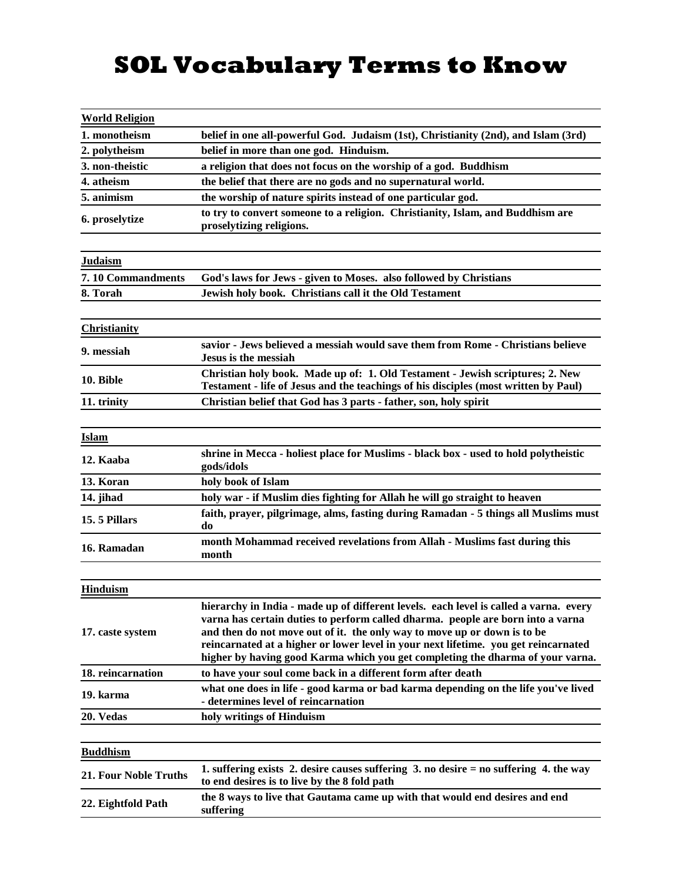## **SOL Vocabulary Terms to Know**

| <b>World Religion</b>        |                                                                                                                                                                                                                                                                                                                                                                                                                               |
|------------------------------|-------------------------------------------------------------------------------------------------------------------------------------------------------------------------------------------------------------------------------------------------------------------------------------------------------------------------------------------------------------------------------------------------------------------------------|
| 1. monotheism                | belief in one all-powerful God. Judaism (1st), Christianity (2nd), and Islam (3rd)                                                                                                                                                                                                                                                                                                                                            |
| 2. polytheism                | belief in more than one god. Hinduism.                                                                                                                                                                                                                                                                                                                                                                                        |
| 3. non-theistic              | a religion that does not focus on the worship of a god. Buddhism                                                                                                                                                                                                                                                                                                                                                              |
| 4. atheism                   | the belief that there are no gods and no supernatural world.                                                                                                                                                                                                                                                                                                                                                                  |
| 5. animism                   | the worship of nature spirits instead of one particular god.                                                                                                                                                                                                                                                                                                                                                                  |
| 6. proselytize               | to try to convert someone to a religion. Christianity, Islam, and Buddhism are<br>proselytizing religions.                                                                                                                                                                                                                                                                                                                    |
| <b>Judaism</b>               |                                                                                                                                                                                                                                                                                                                                                                                                                               |
| 7.10 Commandments            | God's laws for Jews - given to Moses. also followed by Christians                                                                                                                                                                                                                                                                                                                                                             |
| 8. Torah                     | Jewish holy book. Christians call it the Old Testament                                                                                                                                                                                                                                                                                                                                                                        |
|                              |                                                                                                                                                                                                                                                                                                                                                                                                                               |
| <b>Christianity</b>          |                                                                                                                                                                                                                                                                                                                                                                                                                               |
| 9. messiah                   | savior - Jews believed a messiah would save them from Rome - Christians believe<br>Jesus is the messiah                                                                                                                                                                                                                                                                                                                       |
| 10. Bible                    | Christian holy book. Made up of: 1. Old Testament - Jewish scriptures; 2. New<br>Testament - life of Jesus and the teachings of his disciples (most written by Paul)                                                                                                                                                                                                                                                          |
| 11. trinity                  | Christian belief that God has 3 parts - father, son, holy spirit                                                                                                                                                                                                                                                                                                                                                              |
| Islam                        |                                                                                                                                                                                                                                                                                                                                                                                                                               |
| 12. Kaaba                    | shrine in Mecca - holiest place for Muslims - black box - used to hold polytheistic<br>gods/idols                                                                                                                                                                                                                                                                                                                             |
| 13. Koran                    | holy book of Islam                                                                                                                                                                                                                                                                                                                                                                                                            |
| 14. jihad                    | holy war - if Muslim dies fighting for Allah he will go straight to heaven                                                                                                                                                                                                                                                                                                                                                    |
| 15.5 Pillars                 | faith, prayer, pilgrimage, alms, fasting during Ramadan - 5 things all Muslims must<br>do                                                                                                                                                                                                                                                                                                                                     |
| 16. Ramadan                  | month Mohammad received revelations from Allah - Muslims fast during this<br>month                                                                                                                                                                                                                                                                                                                                            |
|                              |                                                                                                                                                                                                                                                                                                                                                                                                                               |
| <b>Hinduism</b>              |                                                                                                                                                                                                                                                                                                                                                                                                                               |
| 17. caste system             | hierarchy in India - made up of different levels. each level is called a varna. every<br>varna has certain duties to perform called dharma. people are born into a varna<br>and then do not move out of it. the only way to move up or down is to be<br>reincarnated at a higher or lower level in your next lifetime. you get reincarnated<br>higher by having good Karma which you get completing the dharma of your varna. |
| 18. reincarnation            | to have your soul come back in a different form after death                                                                                                                                                                                                                                                                                                                                                                   |
| 19. karma                    | what one does in life - good karma or bad karma depending on the life you've lived<br>- determines level of reincarnation                                                                                                                                                                                                                                                                                                     |
| 20. Vedas                    | holy writings of Hinduism                                                                                                                                                                                                                                                                                                                                                                                                     |
|                              |                                                                                                                                                                                                                                                                                                                                                                                                                               |
| <b>Buddhism</b>              |                                                                                                                                                                                                                                                                                                                                                                                                                               |
| <b>21. Four Noble Truths</b> | 1. suffering exists 2. desire causes suffering $3$ , no desire $=$ no suffering 4. the way<br>to end desires is to live by the 8 fold path                                                                                                                                                                                                                                                                                    |
| 22. Eightfold Path           | the 8 ways to live that Gautama came up with that would end desires and end<br>suffering                                                                                                                                                                                                                                                                                                                                      |
|                              |                                                                                                                                                                                                                                                                                                                                                                                                                               |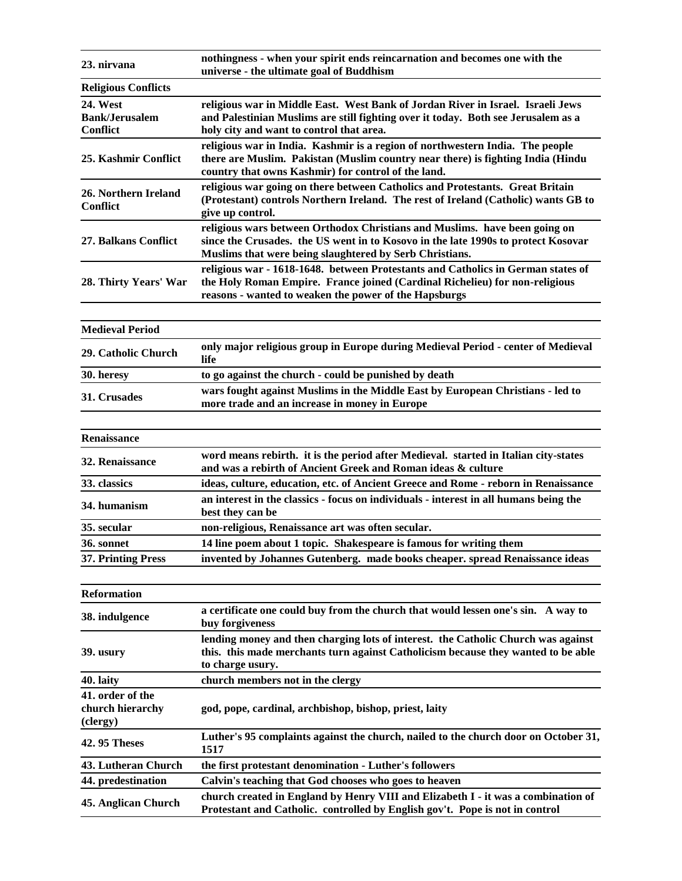| 23. nirvana                                                 | nothingness - when your spirit ends reincarnation and becomes one with the<br>universe - the ultimate goal of Buddhism                                                                                                     |
|-------------------------------------------------------------|----------------------------------------------------------------------------------------------------------------------------------------------------------------------------------------------------------------------------|
| <b>Religious Conflicts</b>                                  |                                                                                                                                                                                                                            |
| <b>24. West</b><br><b>Bank/Jerusalem</b><br><b>Conflict</b> | religious war in Middle East. West Bank of Jordan River in Israel. Israeli Jews<br>and Palestinian Muslims are still fighting over it today. Both see Jerusalem as a<br>holy city and want to control that area.           |
| 25. Kashmir Conflict                                        | religious war in India. Kashmir is a region of northwestern India. The people<br>there are Muslim. Pakistan (Muslim country near there) is fighting India (Hindu<br>country that owns Kashmir) for control of the land.    |
| 26. Northern Ireland<br><b>Conflict</b>                     | religious war going on there between Catholics and Protestants. Great Britain<br>(Protestant) controls Northern Ireland. The rest of Ireland (Catholic) wants GB to<br>give up control.                                    |
| 27. Balkans Conflict                                        | religious wars between Orthodox Christians and Muslims. have been going on<br>since the Crusades. the US went in to Kosovo in the late 1990s to protect Kosovar<br>Muslims that were being slaughtered by Serb Christians. |
| 28. Thirty Years' War                                       | religious war - 1618-1648. between Protestants and Catholics in German states of<br>the Holy Roman Empire. France joined (Cardinal Richelieu) for non-religious<br>reasons - wanted to weaken the power of the Hapsburgs   |
| <b>Medieval Period</b>                                      |                                                                                                                                                                                                                            |
| 29. Catholic Church                                         | only major religious group in Europe during Medieval Period - center of Medieval<br>life                                                                                                                                   |
| 30. heresy                                                  | to go against the church - could be punished by death                                                                                                                                                                      |
| 31. Crusades                                                | wars fought against Muslims in the Middle East by European Christians - led to<br>more trade and an increase in money in Europe                                                                                            |
|                                                             |                                                                                                                                                                                                                            |
| Renaissance                                                 |                                                                                                                                                                                                                            |
| 32. Renaissance                                             | word means rebirth. it is the period after Medieval. started in Italian city-states<br>and was a rebirth of Ancient Greek and Roman ideas & culture                                                                        |
| 33. classics                                                | ideas, culture, education, etc. of Ancient Greece and Rome - reborn in Renaissance                                                                                                                                         |
| 34. humanism                                                | an interest in the classics - focus on individuals - interest in all humans being the<br>best they can be                                                                                                                  |
| 35. secular                                                 | non-religious, Renaissance art was often secular.                                                                                                                                                                          |
| 36. sonnet                                                  | 14 line poem about 1 topic. Shakespeare is famous for writing them                                                                                                                                                         |
| <b>37. Printing Press</b>                                   | invented by Johannes Gutenberg. made books cheaper. spread Renaissance ideas                                                                                                                                               |
| <b>Reformation</b>                                          |                                                                                                                                                                                                                            |
| 38. indulgence                                              | a certificate one could buy from the church that would lessen one's sin. A way to<br>buy forgiveness                                                                                                                       |
| 39. usury                                                   | lending money and then charging lots of interest. the Catholic Church was against<br>this. this made merchants turn against Catholicism because they wanted to be able<br>to charge usury.                                 |
| 40. laity                                                   | church members not in the clergy                                                                                                                                                                                           |
| 41. order of the<br>church hierarchy<br>(clergy)            | god, pope, cardinal, archbishop, bishop, priest, laity                                                                                                                                                                     |
| <b>42.95 Theses</b>                                         | Luther's 95 complaints against the church, nailed to the church door on October 31,<br>1517                                                                                                                                |
| 43. Lutheran Church                                         | the first protestant denomination - Luther's followers                                                                                                                                                                     |
| 44. predestination                                          | Calvin's teaching that God chooses who goes to heaven                                                                                                                                                                      |
| 45. Anglican Church                                         | church created in England by Henry VIII and Elizabeth I - it was a combination of<br>Protestant and Catholic. controlled by English gov't. Pope is not in control                                                          |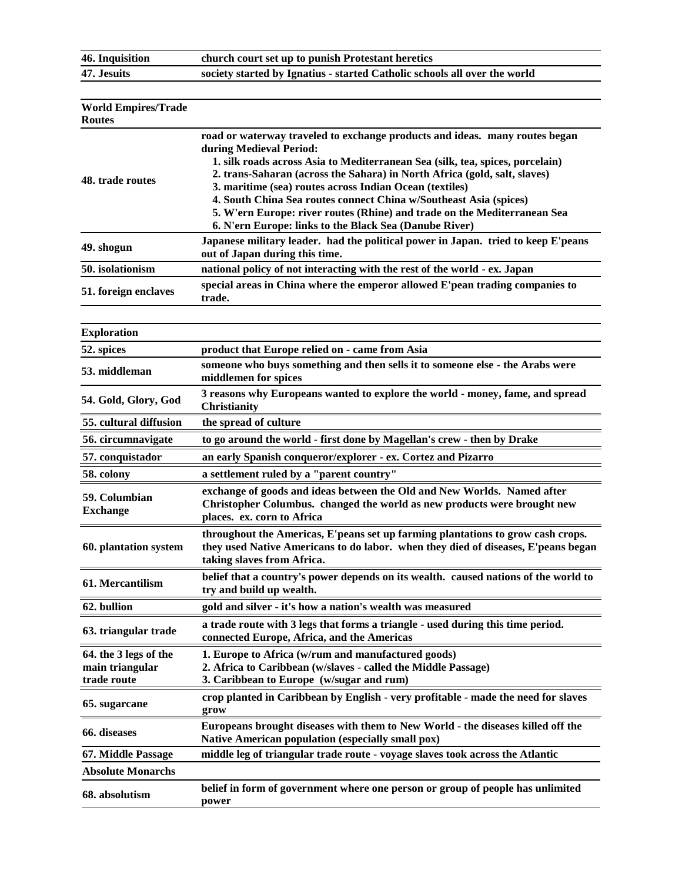**46. Inquisition** 

**47. Jesuits** 

| church court set up to punish Protestant heretics                         |
|---------------------------------------------------------------------------|
| society started by Ignatius - started Catholic schools all over the world |
|                                                                           |

| <b>World Empires/Trade</b><br><b>Routes</b>             |                                                                                                                                                                                                                                                                                                                                                                                                                                                                                                                                            |
|---------------------------------------------------------|--------------------------------------------------------------------------------------------------------------------------------------------------------------------------------------------------------------------------------------------------------------------------------------------------------------------------------------------------------------------------------------------------------------------------------------------------------------------------------------------------------------------------------------------|
| 48. trade routes                                        | road or waterway traveled to exchange products and ideas. many routes began<br>during Medieval Period:<br>1. silk roads across Asia to Mediterranean Sea (silk, tea, spices, porcelain)<br>2. trans-Saharan (across the Sahara) in North Africa (gold, salt, slaves)<br>3. maritime (sea) routes across Indian Ocean (textiles)<br>4. South China Sea routes connect China w/Southeast Asia (spices)<br>5. W'ern Europe: river routes (Rhine) and trade on the Mediterranean Sea<br>6. N'ern Europe: links to the Black Sea (Danube River) |
| 49. shogun                                              | Japanese military leader. had the political power in Japan. tried to keep E'peans<br>out of Japan during this time.                                                                                                                                                                                                                                                                                                                                                                                                                        |
| 50. isolationism                                        | national policy of not interacting with the rest of the world - ex. Japan                                                                                                                                                                                                                                                                                                                                                                                                                                                                  |
| 51. foreign enclaves                                    | special areas in China where the emperor allowed E'pean trading companies to<br>trade.                                                                                                                                                                                                                                                                                                                                                                                                                                                     |
| <b>Exploration</b>                                      |                                                                                                                                                                                                                                                                                                                                                                                                                                                                                                                                            |
| 52. spices                                              | product that Europe relied on - came from Asia                                                                                                                                                                                                                                                                                                                                                                                                                                                                                             |
| 53. middleman                                           | someone who buys something and then sells it to someone else - the Arabs were<br>middlemen for spices                                                                                                                                                                                                                                                                                                                                                                                                                                      |
| 54. Gold, Glory, God                                    | 3 reasons why Europeans wanted to explore the world - money, fame, and spread<br><b>Christianity</b>                                                                                                                                                                                                                                                                                                                                                                                                                                       |
| 55. cultural diffusion                                  | the spread of culture                                                                                                                                                                                                                                                                                                                                                                                                                                                                                                                      |
| 56. circumnavigate                                      | to go around the world - first done by Magellan's crew - then by Drake                                                                                                                                                                                                                                                                                                                                                                                                                                                                     |
| 57. conquistador                                        | an early Spanish conqueror/explorer - ex. Cortez and Pizarro                                                                                                                                                                                                                                                                                                                                                                                                                                                                               |
| 58. colony                                              | a settlement ruled by a "parent country"                                                                                                                                                                                                                                                                                                                                                                                                                                                                                                   |
| 59. Columbian<br><b>Exchange</b>                        | exchange of goods and ideas between the Old and New Worlds. Named after<br>Christopher Columbus. changed the world as new products were brought new<br>places. ex. corn to Africa                                                                                                                                                                                                                                                                                                                                                          |
| 60. plantation system                                   | throughout the Americas, E'peans set up farming plantations to grow cash crops.<br>they used Native Americans to do labor. when they died of diseases, E'peans began<br>taking slaves from Africa.                                                                                                                                                                                                                                                                                                                                         |
| 61. Mercantilism                                        | belief that a country's power depends on its wealth. caused nations of the world to<br>try and build up wealth.                                                                                                                                                                                                                                                                                                                                                                                                                            |
| 62. bullion                                             | gold and silver - it's how a nation's wealth was measured                                                                                                                                                                                                                                                                                                                                                                                                                                                                                  |
| 63. triangular trade                                    | a trade route with 3 legs that forms a triangle - used during this time period.<br>connected Europe, Africa, and the Americas                                                                                                                                                                                                                                                                                                                                                                                                              |
| 64. the 3 legs of the<br>main triangular<br>trade route | 1. Europe to Africa (w/rum and manufactured goods)<br>2. Africa to Caribbean (w/slaves - called the Middle Passage)<br>3. Caribbean to Europe (w/sugar and rum)                                                                                                                                                                                                                                                                                                                                                                            |
| 65. sugarcane                                           | crop planted in Caribbean by English - very profitable - made the need for slaves<br>grow                                                                                                                                                                                                                                                                                                                                                                                                                                                  |
| 66. diseases                                            | Europeans brought diseases with them to New World - the diseases killed off the<br><b>Native American population (especially small pox)</b>                                                                                                                                                                                                                                                                                                                                                                                                |
| 67. Middle Passage                                      | middle leg of triangular trade route - voyage slaves took across the Atlantic                                                                                                                                                                                                                                                                                                                                                                                                                                                              |
| <b>Absolute Monarchs</b>                                |                                                                                                                                                                                                                                                                                                                                                                                                                                                                                                                                            |
| 68. absolutism                                          | belief in form of government where one person or group of people has unlimited<br>power                                                                                                                                                                                                                                                                                                                                                                                                                                                    |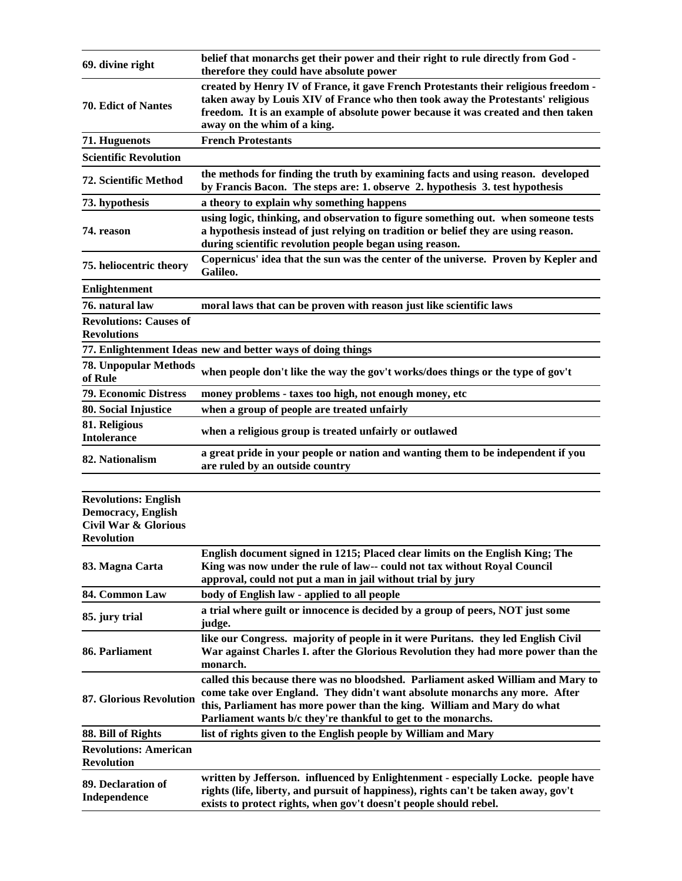| 69. divine right                                                                                                  | belief that monarchs get their power and their right to rule directly from God -<br>therefore they could have absolute power                                                                                                                                                                               |
|-------------------------------------------------------------------------------------------------------------------|------------------------------------------------------------------------------------------------------------------------------------------------------------------------------------------------------------------------------------------------------------------------------------------------------------|
| <b>70. Edict of Nantes</b>                                                                                        | created by Henry IV of France, it gave French Protestants their religious freedom -<br>taken away by Louis XIV of France who then took away the Protestants' religious<br>freedom. It is an example of absolute power because it was created and then taken<br>away on the whim of a king.                 |
| 71. Huguenots                                                                                                     | <b>French Protestants</b>                                                                                                                                                                                                                                                                                  |
| <b>Scientific Revolution</b>                                                                                      |                                                                                                                                                                                                                                                                                                            |
| 72. Scientific Method                                                                                             | the methods for finding the truth by examining facts and using reason. developed<br>by Francis Bacon. The steps are: 1. observe 2. hypothesis 3. test hypothesis                                                                                                                                           |
| 73. hypothesis                                                                                                    | a theory to explain why something happens                                                                                                                                                                                                                                                                  |
| 74. reason                                                                                                        | using logic, thinking, and observation to figure something out. when someone tests<br>a hypothesis instead of just relying on tradition or belief they are using reason.<br>during scientific revolution people began using reason.                                                                        |
| 75. heliocentric theory                                                                                           | Copernicus' idea that the sun was the center of the universe. Proven by Kepler and<br>Galileo.                                                                                                                                                                                                             |
| <b>Enlightenment</b>                                                                                              |                                                                                                                                                                                                                                                                                                            |
| 76. natural law                                                                                                   | moral laws that can be proven with reason just like scientific laws                                                                                                                                                                                                                                        |
| <b>Revolutions: Causes of</b><br><b>Revolutions</b>                                                               |                                                                                                                                                                                                                                                                                                            |
|                                                                                                                   | 77. Enlightenment Ideas new and better ways of doing things                                                                                                                                                                                                                                                |
| <b>78. Unpopular Methods</b><br>of Rule                                                                           | when people don't like the way the gov't works/does things or the type of gov't                                                                                                                                                                                                                            |
| <b>79. Economic Distress</b>                                                                                      | money problems - taxes too high, not enough money, etc                                                                                                                                                                                                                                                     |
| 80. Social Injustice                                                                                              | when a group of people are treated unfairly                                                                                                                                                                                                                                                                |
| 81. Religious<br><b>Intolerance</b>                                                                               | when a religious group is treated unfairly or outlawed                                                                                                                                                                                                                                                     |
| 82. Nationalism                                                                                                   | a great pride in your people or nation and wanting them to be independent if you<br>are ruled by an outside country                                                                                                                                                                                        |
| <b>Revolutions: English</b><br><b>Democracy</b> , English<br><b>Civil War &amp; Glorious</b><br><b>Revolution</b> |                                                                                                                                                                                                                                                                                                            |
| 83. Magna Carta                                                                                                   | English document signed in 1215; Placed clear limits on the English King; The<br>King was now under the rule of law-- could not tax without Royal Council<br>approval, could not put a man in jail without trial by jury                                                                                   |
| 84. Common Law                                                                                                    | body of English law - applied to all people                                                                                                                                                                                                                                                                |
| 85. jury trial                                                                                                    | a trial where guilt or innocence is decided by a group of peers, NOT just some<br>judge.                                                                                                                                                                                                                   |
| 86. Parliament                                                                                                    | like our Congress. majority of people in it were Puritans. they led English Civil<br>War against Charles I. after the Glorious Revolution they had more power than the<br>monarch.                                                                                                                         |
| <b>87. Glorious Revolution</b>                                                                                    | called this because there was no bloodshed. Parliament asked William and Mary to<br>come take over England. They didn't want absolute monarchs any more. After<br>this, Parliament has more power than the king. William and Mary do what<br>Parliament wants b/c they're thankful to get to the monarchs. |
| 88. Bill of Rights                                                                                                | list of rights given to the English people by William and Mary                                                                                                                                                                                                                                             |
| <b>Revolutions: American</b><br><b>Revolution</b>                                                                 |                                                                                                                                                                                                                                                                                                            |
| 89. Declaration of<br>Independence                                                                                | written by Jefferson. influenced by Enlightenment - especially Locke. people have<br>rights (life, liberty, and pursuit of happiness), rights can't be taken away, gov't<br>exists to protect rights, when gov't doesn't people should rebel.                                                              |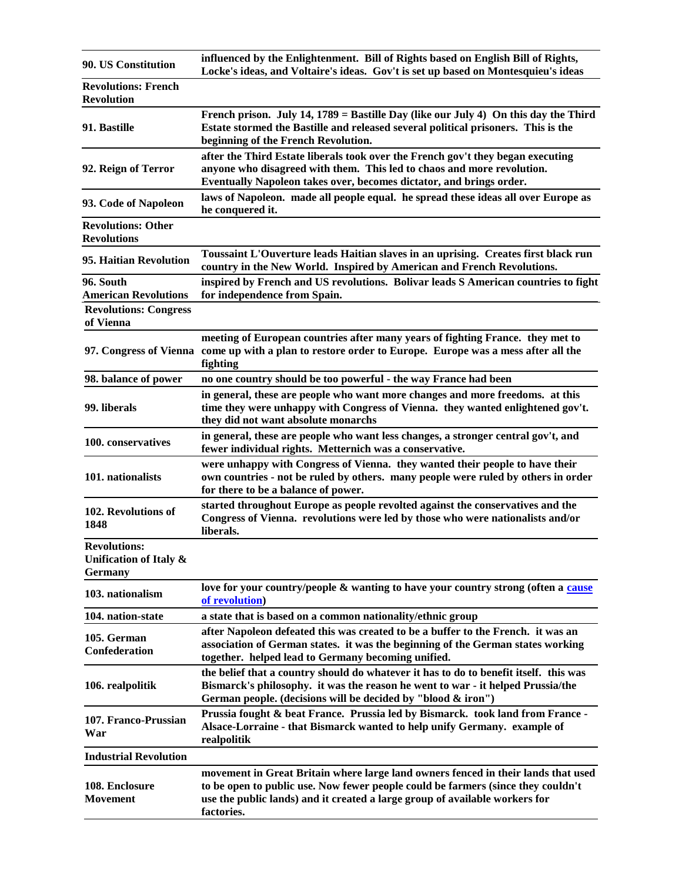| 90. US Constitution                                             | influenced by the Enlightenment. Bill of Rights based on English Bill of Rights,<br>Locke's ideas, and Voltaire's ideas. Gov't is set up based on Montesquieu's ideas                                                                                              |
|-----------------------------------------------------------------|--------------------------------------------------------------------------------------------------------------------------------------------------------------------------------------------------------------------------------------------------------------------|
| <b>Revolutions: French</b><br><b>Revolution</b>                 |                                                                                                                                                                                                                                                                    |
| 91. Bastille                                                    | French prison. July 14, $1789$ = Bastille Day (like our July 4) On this day the Third<br>Estate stormed the Bastille and released several political prisoners. This is the<br>beginning of the French Revolution.                                                  |
| 92. Reign of Terror                                             | after the Third Estate liberals took over the French gov't they began executing<br>anyone who disagreed with them. This led to chaos and more revolution.<br>Eventually Napoleon takes over, becomes dictator, and brings order.                                   |
| 93. Code of Napoleon                                            | laws of Napoleon. made all people equal. he spread these ideas all over Europe as<br>he conquered it.                                                                                                                                                              |
| <b>Revolutions: Other</b><br><b>Revolutions</b>                 |                                                                                                                                                                                                                                                                    |
| 95. Haitian Revolution                                          | Toussaint L'Ouverture leads Haitian slaves in an uprising. Creates first black run<br>country in the New World. Inspired by American and French Revolutions.                                                                                                       |
| 96. South<br><b>American Revolutions</b>                        | inspired by French and US revolutions. Bolivar leads S American countries to fight<br>for independence from Spain.                                                                                                                                                 |
| <b>Revolutions: Congress</b><br>of Vienna                       |                                                                                                                                                                                                                                                                    |
|                                                                 | meeting of European countries after many years of fighting France. they met to<br>97. Congress of Vienna come up with a plan to restore order to Europe. Europe was a mess after all the<br>fighting                                                               |
| 98. balance of power                                            | no one country should be too powerful - the way France had been                                                                                                                                                                                                    |
| 99. liberals                                                    | in general, these are people who want more changes and more freedoms. at this<br>time they were unhappy with Congress of Vienna. they wanted enlightened gov't.<br>they did not want absolute monarchs                                                             |
| 100. conservatives                                              | in general, these are people who want less changes, a stronger central gov't, and<br>fewer individual rights. Metternich was a conservative.                                                                                                                       |
| 101. nationalists                                               | were unhappy with Congress of Vienna. they wanted their people to have their<br>own countries - not be ruled by others. many people were ruled by others in order<br>for there to be a balance of power.                                                           |
| 102. Revolutions of<br>1848                                     | started throughout Europe as people revolted against the conservatives and the<br>Congress of Vienna. revolutions were led by those who were nationalists and/or<br>liberals.                                                                                      |
| <b>Revolutions:</b><br>Unification of Italy &<br><b>Germany</b> |                                                                                                                                                                                                                                                                    |
| 103. nationalism                                                | love for your country/people & wanting to have your country strong (often a cause<br>of revolution)                                                                                                                                                                |
| 104. nation-state                                               | a state that is based on a common nationality/ethnic group                                                                                                                                                                                                         |
| 105. German<br><b>Confederation</b>                             | after Napoleon defeated this was created to be a buffer to the French. it was an<br>association of German states. it was the beginning of the German states working<br>together. helped lead to Germany becoming unified.                                          |
| 106. realpolitik                                                | the belief that a country should do whatever it has to do to benefit itself. this was<br>Bismarck's philosophy. it was the reason he went to war - it helped Prussia/the<br>German people. (decisions will be decided by "blood & iron")                           |
| 107. Franco-Prussian<br>War                                     | Prussia fought & beat France. Prussia led by Bismarck. took land from France -<br>Alsace-Lorraine - that Bismarck wanted to help unify Germany. example of<br>realpolitik                                                                                          |
| <b>Industrial Revolution</b>                                    |                                                                                                                                                                                                                                                                    |
| 108. Enclosure<br><b>Movement</b>                               | movement in Great Britain where large land owners fenced in their lands that used<br>to be open to public use. Now fewer people could be farmers (since they couldn't<br>use the public lands) and it created a large group of available workers for<br>factories. |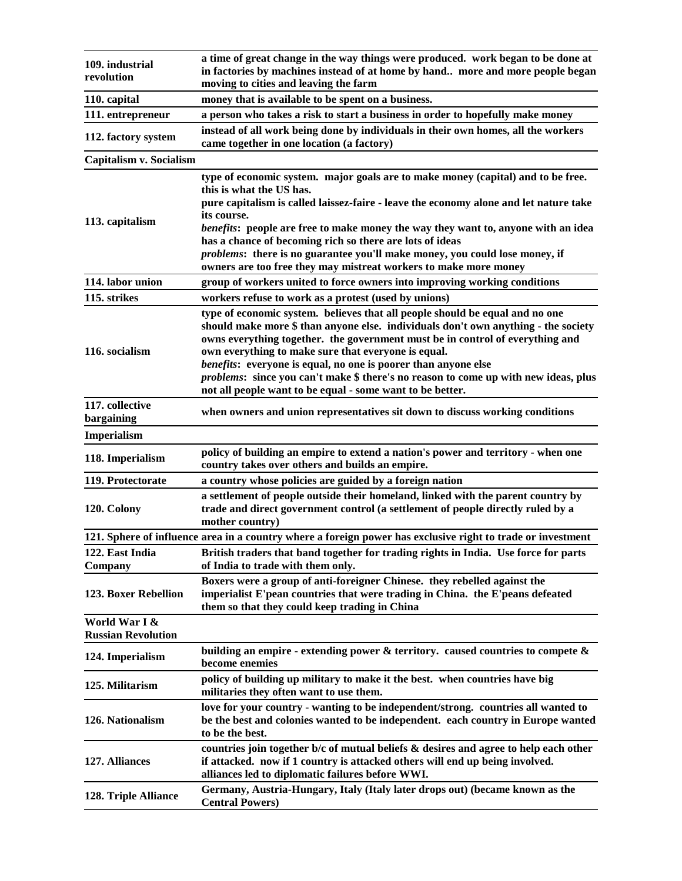| 109. industrial<br>revolution              | a time of great change in the way things were produced. work began to be done at<br>in factories by machines instead of at home by hand more and more people began<br>moving to cities and leaving the farm                                                                                                                                                                                                                                                                                                                      |
|--------------------------------------------|----------------------------------------------------------------------------------------------------------------------------------------------------------------------------------------------------------------------------------------------------------------------------------------------------------------------------------------------------------------------------------------------------------------------------------------------------------------------------------------------------------------------------------|
| 110. capital                               | money that is available to be spent on a business.                                                                                                                                                                                                                                                                                                                                                                                                                                                                               |
| 111. entrepreneur                          | a person who takes a risk to start a business in order to hopefully make money                                                                                                                                                                                                                                                                                                                                                                                                                                                   |
| 112. factory system                        | instead of all work being done by individuals in their own homes, all the workers<br>came together in one location (a factory)                                                                                                                                                                                                                                                                                                                                                                                                   |
| Capitalism v. Socialism                    |                                                                                                                                                                                                                                                                                                                                                                                                                                                                                                                                  |
| 113. capitalism                            | type of economic system. major goals are to make money (capital) and to be free.<br>this is what the US has.<br>pure capitalism is called laissez-faire - leave the economy alone and let nature take<br>its course.<br>benefits: people are free to make money the way they want to, anyone with an idea<br>has a chance of becoming rich so there are lots of ideas<br><i>problems:</i> there is no guarantee you'll make money, you could lose money, if<br>owners are too free they may mistreat workers to make more money  |
| 114. labor union                           | group of workers united to force owners into improving working conditions                                                                                                                                                                                                                                                                                                                                                                                                                                                        |
| 115. strikes                               | workers refuse to work as a protest (used by unions)                                                                                                                                                                                                                                                                                                                                                                                                                                                                             |
| 116. socialism                             | type of economic system. believes that all people should be equal and no one<br>should make more \$ than anyone else. individuals don't own anything - the society<br>owns everything together. the government must be in control of everything and<br>own everything to make sure that everyone is equal.<br>benefits: everyone is equal, no one is poorer than anyone else<br>problems: since you can't make \$ there's no reason to come up with new ideas, plus<br>not all people want to be equal - some want to be better. |
| 117. collective<br>bargaining              | when owners and union representatives sit down to discuss working conditions                                                                                                                                                                                                                                                                                                                                                                                                                                                     |
| <b>Imperialism</b>                         |                                                                                                                                                                                                                                                                                                                                                                                                                                                                                                                                  |
| 118. Imperialism                           | policy of building an empire to extend a nation's power and territory - when one<br>country takes over others and builds an empire.                                                                                                                                                                                                                                                                                                                                                                                              |
| 119. Protectorate                          | a country whose policies are guided by a foreign nation                                                                                                                                                                                                                                                                                                                                                                                                                                                                          |
| 120. Colony                                | a settlement of people outside their homeland, linked with the parent country by<br>trade and direct government control (a settlement of people directly ruled by a<br>mother country)                                                                                                                                                                                                                                                                                                                                           |
|                                            | 121. Sphere of influence area in a country where a foreign power has exclusive right to trade or investment                                                                                                                                                                                                                                                                                                                                                                                                                      |
| 122. East India<br>Company                 | British traders that band together for trading rights in India. Use force for parts<br>of India to trade with them only.                                                                                                                                                                                                                                                                                                                                                                                                         |
| 123. Boxer Rebellion                       | Boxers were a group of anti-foreigner Chinese. they rebelled against the<br>imperialist E'pean countries that were trading in China. the E'peans defeated<br>them so that they could keep trading in China                                                                                                                                                                                                                                                                                                                       |
| World War I &<br><b>Russian Revolution</b> |                                                                                                                                                                                                                                                                                                                                                                                                                                                                                                                                  |
| 124. Imperialism                           | building an empire - extending power $\&$ territory. caused countries to compete $\&$<br>become enemies                                                                                                                                                                                                                                                                                                                                                                                                                          |
| 125. Militarism                            | policy of building up military to make it the best. when countries have big<br>militaries they often want to use them.                                                                                                                                                                                                                                                                                                                                                                                                           |
| 126. Nationalism                           | love for your country - wanting to be independent/strong. countries all wanted to<br>be the best and colonies wanted to be independent. each country in Europe wanted<br>to be the best.                                                                                                                                                                                                                                                                                                                                         |
| 127. Alliances                             | countries join together $b/c$ of mutual beliefs $\&$ desires and agree to help each other<br>if attacked. now if 1 country is attacked others will end up being involved.<br>alliances led to diplomatic failures before WWI.                                                                                                                                                                                                                                                                                                    |
| 128. Triple Alliance                       | Germany, Austria-Hungary, Italy (Italy later drops out) (became known as the<br><b>Central Powers</b> )                                                                                                                                                                                                                                                                                                                                                                                                                          |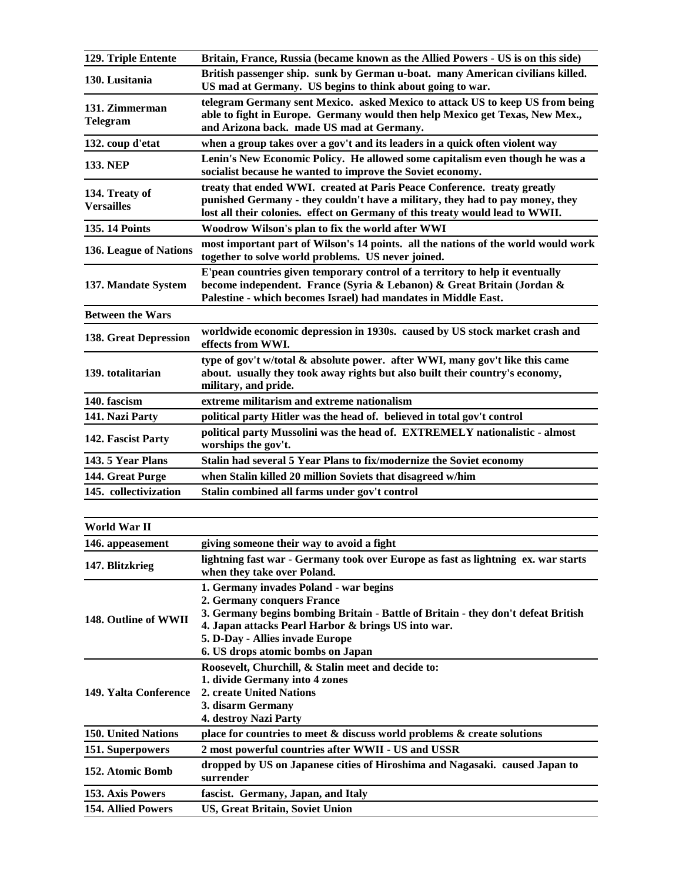| 129. Triple Entente                 | Britain, France, Russia (became known as the Allied Powers - US is on this side)                                                                                                                                                                                                         |
|-------------------------------------|------------------------------------------------------------------------------------------------------------------------------------------------------------------------------------------------------------------------------------------------------------------------------------------|
| 130. Lusitania                      | British passenger ship. sunk by German u-boat. many American civilians killed.<br>US mad at Germany. US begins to think about going to war.                                                                                                                                              |
| 131. Zimmerman<br><b>Telegram</b>   | telegram Germany sent Mexico. asked Mexico to attack US to keep US from being<br>able to fight in Europe. Germany would then help Mexico get Texas, New Mex.,<br>and Arizona back. made US mad at Germany.                                                                               |
| 132. coup d'etat                    | when a group takes over a gov't and its leaders in a quick often violent way                                                                                                                                                                                                             |
| <b>133. NEP</b>                     | Lenin's New Economic Policy. He allowed some capitalism even though he was a<br>socialist because he wanted to improve the Soviet economy.                                                                                                                                               |
| 134. Treaty of<br><b>Versailles</b> | treaty that ended WWI. created at Paris Peace Conference. treaty greatly<br>punished Germany - they couldn't have a military, they had to pay money, they<br>lost all their colonies. effect on Germany of this treaty would lead to WWII.                                               |
| <b>135.14 Points</b>                | Woodrow Wilson's plan to fix the world after WWI                                                                                                                                                                                                                                         |
| 136. League of Nations              | most important part of Wilson's 14 points. all the nations of the world would work<br>together to solve world problems. US never joined.                                                                                                                                                 |
| 137. Mandate System                 | E'pean countries given temporary control of a territory to help it eventually<br>become independent. France (Syria & Lebanon) & Great Britain (Jordan &<br>Palestine - which becomes Israel) had mandates in Middle East.                                                                |
| <b>Between the Wars</b>             |                                                                                                                                                                                                                                                                                          |
| <b>138. Great Depression</b>        | worldwide economic depression in 1930s. caused by US stock market crash and<br>effects from WWI.                                                                                                                                                                                         |
| 139. totalitarian                   | type of gov't w/total & absolute power. after WWI, many gov't like this came<br>about. usually they took away rights but also built their country's economy,<br>military, and pride.                                                                                                     |
| 140. fascism                        | extreme militarism and extreme nationalism                                                                                                                                                                                                                                               |
| 141. Nazi Party                     | political party Hitler was the head of. believed in total gov't control                                                                                                                                                                                                                  |
| 142. Fascist Party                  | political party Mussolini was the head of. EXTREMELY nationalistic - almost<br>worships the gov't.                                                                                                                                                                                       |
| 143.5 Year Plans                    | Stalin had several 5 Year Plans to fix/modernize the Soviet economy                                                                                                                                                                                                                      |
| 144. Great Purge                    | when Stalin killed 20 million Soviets that disagreed w/him                                                                                                                                                                                                                               |
| 145. collectivization               | Stalin combined all farms under gov't control                                                                                                                                                                                                                                            |
| World War II                        |                                                                                                                                                                                                                                                                                          |
| 146. appeasement                    | giving someone their way to avoid a fight                                                                                                                                                                                                                                                |
| 147. Blitzkrieg                     | lightning fast war - Germany took over Europe as fast as lightning ex. war starts<br>when they take over Poland.                                                                                                                                                                         |
| 148. Outline of WWII                | 1. Germany invades Poland - war begins<br>2. Germany conquers France<br>3. Germany begins bombing Britain - Battle of Britain - they don't defeat British<br>4. Japan attacks Pearl Harbor & brings US into war.<br>5. D-Day - Allies invade Europe<br>6. US drops atomic bombs on Japan |

|                            | <u>v. UB drops atomic bombs on Japan</u>                                                 |
|----------------------------|------------------------------------------------------------------------------------------|
|                            | Roosevelt, Churchill, & Stalin meet and decide to:<br>1. divide Germany into 4 zones     |
| 149. Yalta Conference      | 2. create United Nations                                                                 |
|                            | 3. disarm Germany                                                                        |
|                            | 4. destroy Nazi Party                                                                    |
| <b>150. United Nations</b> | place for countries to meet & discuss world problems & create solutions                  |
| 151. Superpowers           | 2 most powerful countries after WWII - US and USSR                                       |
| 152. Atomic Bomb           | dropped by US on Japanese cities of Hiroshima and Nagasaki. caused Japan to<br>surrender |
| 153. Axis Powers           | fascist. Germany, Japan, and Italy                                                       |
| <b>154. Allied Powers</b>  | <b>US, Great Britain, Soviet Union</b>                                                   |
|                            |                                                                                          |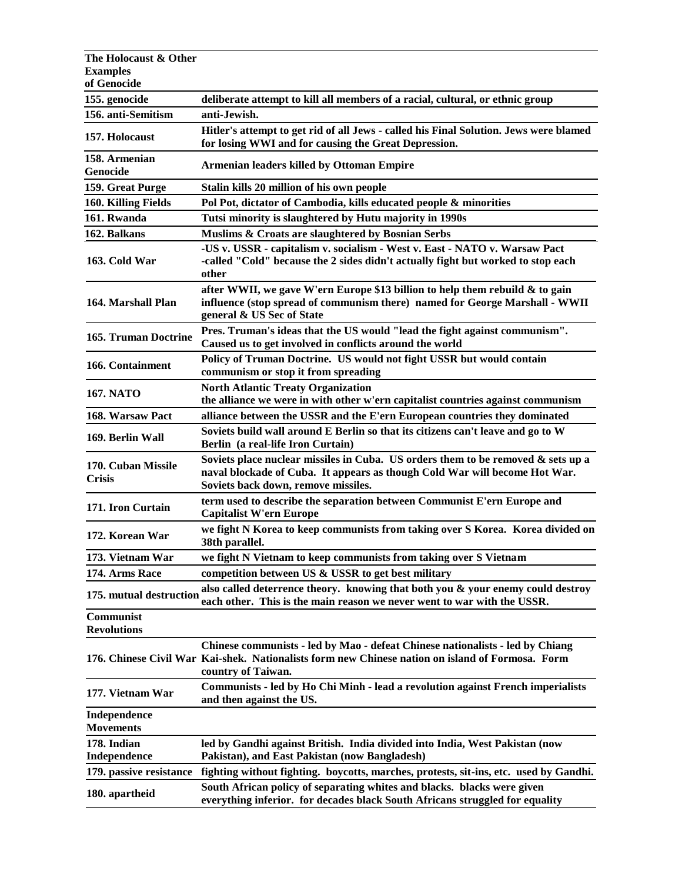| The Holocaust & Other                  |                                                                                                                                                                                                          |
|----------------------------------------|----------------------------------------------------------------------------------------------------------------------------------------------------------------------------------------------------------|
| <b>Examples</b>                        |                                                                                                                                                                                                          |
| of Genocide                            |                                                                                                                                                                                                          |
| 155. genocide                          | deliberate attempt to kill all members of a racial, cultural, or ethnic group                                                                                                                            |
| 156. anti-Semitism                     | anti-Jewish.                                                                                                                                                                                             |
| 157. Holocaust                         | Hitler's attempt to get rid of all Jews - called his Final Solution. Jews were blamed<br>for losing WWI and for causing the Great Depression.                                                            |
| 158. Armenian<br>Genocide              | <b>Armenian leaders killed by Ottoman Empire</b>                                                                                                                                                         |
| 159. Great Purge                       | Stalin kills 20 million of his own people                                                                                                                                                                |
| 160. Killing Fields                    | Pol Pot, dictator of Cambodia, kills educated people & minorities                                                                                                                                        |
| 161. Rwanda                            | Tutsi minority is slaughtered by Hutu majority in 1990s                                                                                                                                                  |
| 162. Balkans                           | Muslims & Croats are slaughtered by Bosnian Serbs                                                                                                                                                        |
| 163. Cold War                          | -US v. USSR - capitalism v. socialism - West v. East - NATO v. Warsaw Pact<br>-called "Cold" because the 2 sides didn't actually fight but worked to stop each<br>other                                  |
| 164. Marshall Plan                     | after WWII, we gave W'ern Europe \$13 billion to help them rebuild & to gain<br>influence (stop spread of communism there) named for George Marshall - WWII<br>general & US Sec of State                 |
| <b>165. Truman Doctrine</b>            | Pres. Truman's ideas that the US would "lead the fight against communism".<br>Caused us to get involved in conflicts around the world                                                                    |
| 166. Containment                       | Policy of Truman Doctrine. US would not fight USSR but would contain<br>communism or stop it from spreading                                                                                              |
| <b>167. NATO</b>                       | <b>North Atlantic Treaty Organization</b><br>the alliance we were in with other w'ern capitalist countries against communism                                                                             |
| 168. Warsaw Pact                       | alliance between the USSR and the E'ern European countries they dominated                                                                                                                                |
| 169. Berlin Wall                       | Soviets build wall around E Berlin so that its citizens can't leave and go to W<br>Berlin (a real-life Iron Curtain)                                                                                     |
| 170. Cuban Missile<br><b>Crisis</b>    | Soviets place nuclear missiles in Cuba. US orders them to be removed $\&$ sets up a<br>naval blockade of Cuba. It appears as though Cold War will become Hot War.<br>Soviets back down, remove missiles. |
| 171. Iron Curtain                      | term used to describe the separation between Communist E'ern Europe and<br><b>Capitalist W'ern Europe</b>                                                                                                |
| 172. Korean War                        | we fight N Korea to keep communists from taking over S Korea. Korea divided on<br>38th parallel.                                                                                                         |
| 173. Vietnam War                       | we fight N Vietnam to keep communists from taking over S Vietnam                                                                                                                                         |
| 174. Arms Race                         | competition between US & USSR to get best military                                                                                                                                                       |
| 175. mutual destruction                | also called deterrence theory. knowing that both you & your enemy could destroy<br>each other. This is the main reason we never went to war with the USSR.                                               |
| <b>Communist</b><br><b>Revolutions</b> |                                                                                                                                                                                                          |
|                                        | Chinese communists - led by Mao - defeat Chinese nationalists - led by Chiang<br>176. Chinese Civil War Kai-shek. Nationalists form new Chinese nation on island of Formosa. Form<br>country of Taiwan.  |
| 177. Vietnam War                       | <b>Communists - led by Ho Chi Minh - lead a revolution against French imperialists</b><br>and then against the US.                                                                                       |
| Independence<br><b>Movements</b>       |                                                                                                                                                                                                          |
| 178. Indian                            | led by Gandhi against British. India divided into India, West Pakistan (now                                                                                                                              |
| Independence                           | Pakistan), and East Pakistan (now Bangladesh)                                                                                                                                                            |
| 179. passive resistance                | fighting without fighting. boycotts, marches, protests, sit-ins, etc. used by Gandhi.                                                                                                                    |
| 180. apartheid                         | South African policy of separating whites and blacks. blacks were given<br>everything inferior. for decades black South Africans struggled for equality                                                  |